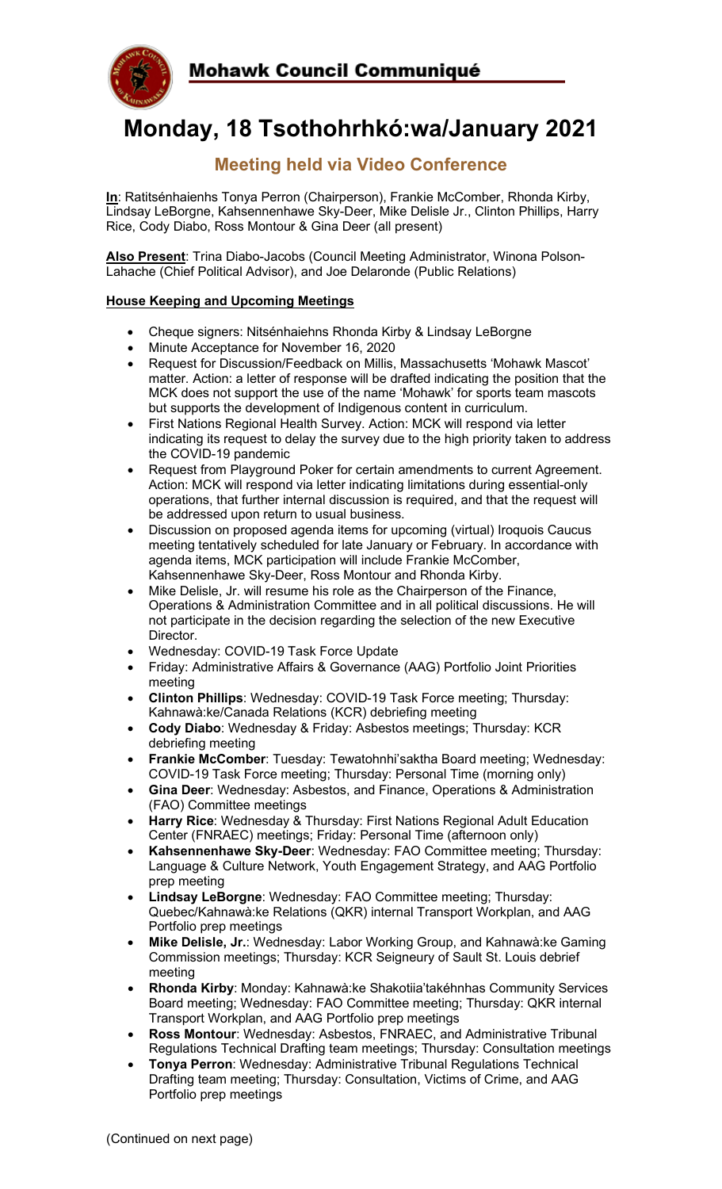

# **Monday, 18 Tsothohrhkó:wa/January 2021**

# **Meeting held via Video Conference**

**In**: Ratitsénhaienhs Tonya Perron (Chairperson), Frankie McComber, Rhonda Kirby, Lindsay LeBorgne, Kahsennenhawe Sky-Deer, Mike Delisle Jr., Clinton Phillips, Harry Rice, Cody Diabo, Ross Montour & Gina Deer (all present)

**Also Present**: Trina Diabo-Jacobs (Council Meeting Administrator, Winona Polson-Lahache (Chief Political Advisor), and Joe Delaronde (Public Relations)

#### **House Keeping and Upcoming Meetings**

- Cheque signers: Nitsénhaiehns Rhonda Kirby & Lindsay LeBorgne
- Minute Acceptance for November 16, 2020
- Request for Discussion/Feedback on Millis, Massachusetts 'Mohawk Mascot' matter. Action: a letter of response will be drafted indicating the position that the MCK does not support the use of the name 'Mohawk' for sports team mascots but supports the development of Indigenous content in curriculum.
- First Nations Regional Health Survey. Action: MCK will respond via letter indicating its request to delay the survey due to the high priority taken to address the COVID-19 pandemic
- Request from Playground Poker for certain amendments to current Agreement. Action: MCK will respond via letter indicating limitations during essential-only operations, that further internal discussion is required, and that the request will be addressed upon return to usual business.
- Discussion on proposed agenda items for upcoming (virtual) Iroquois Caucus meeting tentatively scheduled for late January or February. In accordance with agenda items, MCK participation will include Frankie McComber, Kahsennenhawe Sky-Deer, Ross Montour and Rhonda Kirby.
- Mike Delisle, Jr. will resume his role as the Chairperson of the Finance, Operations & Administration Committee and in all political discussions. He will not participate in the decision regarding the selection of the new Executive Director.
- Wednesday: COVID-19 Task Force Update
- Friday: Administrative Affairs & Governance (AAG) Portfolio Joint Priorities meeting
- **Clinton Phillips**: Wednesday: COVID-19 Task Force meeting; Thursday: Kahnawà:ke/Canada Relations (KCR) debriefing meeting
- **Cody Diabo**: Wednesday & Friday: Asbestos meetings; Thursday: KCR debriefing meeting
- **Frankie McComber**: Tuesday: Tewatohnhi'saktha Board meeting; Wednesday: COVID-19 Task Force meeting; Thursday: Personal Time (morning only)
- **Gina Deer**: Wednesday: Asbestos, and Finance, Operations & Administration (FAO) Committee meetings
- **Harry Rice**: Wednesday & Thursday: First Nations Regional Adult Education Center (FNRAEC) meetings; Friday: Personal Time (afternoon only)
- **Kahsennenhawe Sky-Deer**: Wednesday: FAO Committee meeting; Thursday: Language & Culture Network, Youth Engagement Strategy, and AAG Portfolio prep meeting
- **Lindsay LeBorgne**: Wednesday: FAO Committee meeting; Thursday: Quebec/Kahnawà:ke Relations (QKR) internal Transport Workplan, and AAG Portfolio prep meetings
- **Mike Delisle, Jr.**: Wednesday: Labor Working Group, and Kahnawà:ke Gaming Commission meetings; Thursday: KCR Seigneury of Sault St. Louis debrief meeting
- **Rhonda Kirby**: Monday: Kahnawà:ke Shakotiia'takéhnhas Community Services Board meeting; Wednesday: FAO Committee meeting; Thursday: QKR internal Transport Workplan, and AAG Portfolio prep meetings
- **Ross Montour**: Wednesday: Asbestos, FNRAEC, and Administrative Tribunal Regulations Technical Drafting team meetings; Thursday: Consultation meetings
- **Tonya Perron**: Wednesday: Administrative Tribunal Regulations Technical Drafting team meeting; Thursday: Consultation, Victims of Crime, and AAG Portfolio prep meetings